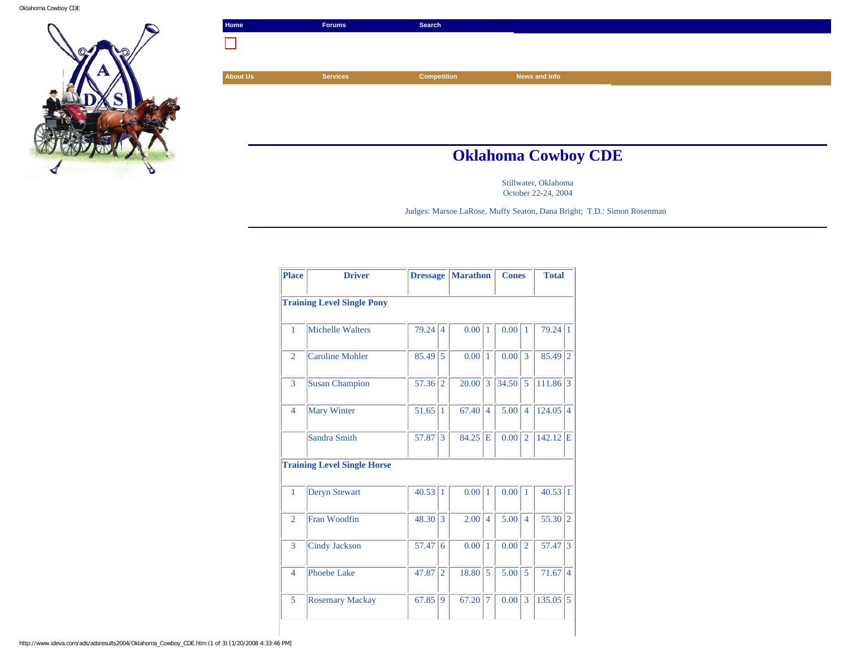Oklahoma Cowboy CDE



| Home            | <b>Forums</b>   | Search             |                            |
|-----------------|-----------------|--------------------|----------------------------|
|                 |                 |                    |                            |
|                 |                 |                    |                            |
| <b>About Us</b> | <b>Services</b> | <b>Competition</b> | News and Info              |
|                 |                 |                    |                            |
|                 |                 |                    |                            |
|                 |                 |                    |                            |
|                 |                 |                    |                            |
|                 |                 |                    | <b>Oklahoma Cowboy CDE</b> |

Stillwater, Oklahoma October 22-24, 2004

Judges: Marsoe LaRose, Muffy Seaton, Dana Bright; T.D.: Simon Rosenman

| <b>Place</b>   | <b>Driver</b>                      |       | <b>Dressage</b> | <b>Marathon</b> |                | <b>Cones</b>      |                          | <b>Total</b> |                |
|----------------|------------------------------------|-------|-----------------|-----------------|----------------|-------------------|--------------------------|--------------|----------------|
|                | <b>Training Level Single Pony</b>  |       |                 |                 |                |                   |                          |              |                |
| 1              | <b>Michelle Walters</b>            | 79.24 | $\overline{4}$  | 0.00            | $\mathbf{1}$   | 0.00 <sub>l</sub> | $\mathbf{1}$             | 79.24        | 1              |
| $\overline{2}$ | <b>Caroline Mohler</b>             | 85.49 | 5               | 0.00            | $\overline{1}$ | 0.00              | 3                        | 85.49        | $\overline{2}$ |
| 3              | <b>Susan Champion</b>              | 57.36 | $\overline{2}$  | 20.00           | 3              | 34.50             | 5                        | 111.86       | 3              |
| $\overline{4}$ | <b>Mary Winter</b>                 | 51.65 | $\bar{1}$       | 67.40           | $\overline{4}$ | 5.00              | $\overline{\mathcal{A}}$ | 124.05       | $\overline{4}$ |
|                | Sandra Smith                       | 57.87 | $\overline{3}$  | 84.25           | E              | 0.00              | $\overline{2}$           | $142.12$ E   |                |
|                | <b>Training Level Single Horse</b> |       |                 |                 |                |                   |                          |              |                |
| 1              | <b>Deryn Stewart</b>               | 40.53 | 1               | 0.00            | $\vert$ 1      | 0.00              | 1                        | 40.53        | $\vert$ 1      |
| $\overline{2}$ | Fran Woodfin                       | 48.30 | 3               | 2.00            | $\overline{4}$ | 5.00              | $\overline{4}$           | 55.30        | $\overline{2}$ |
| 3              | <b>Cindy Jackson</b>               | 57.47 | 6               | 0.00            | $\overline{1}$ | 0.00              | $\overline{2}$           | 57.47        | 3              |
| $\overline{4}$ | Phoebe Lake                        | 47.87 | $\overline{2}$  | 18.80           | 5              | 5.00              | 5                        | 71.67        | $\overline{4}$ |
| 5              | <b>Rosemary Mackay</b>             | 67.85 | 9               | 67.20           | 7              | 0.00              | 3                        | 135.05       | $\overline{5}$ |

http://www.ideva.com/ads/adsresults2004/Oklahoma\_Cowboy\_CDE.htm (1 of 3) [1/20/2008 4:33:46 PM]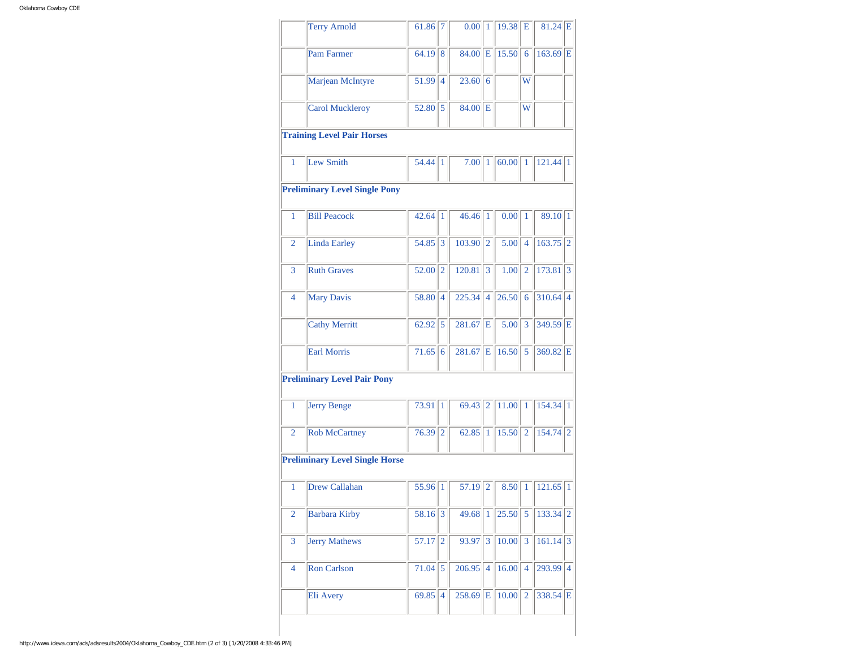|                | <b>Terry Arnold</b>                   | 61.86     | 7               | $0.00$  1   |                | 19.38       | l E            | $81.24$ E             |                             |
|----------------|---------------------------------------|-----------|-----------------|-------------|----------------|-------------|----------------|-----------------------|-----------------------------|
|                | <b>Pam Farmer</b>                     | 64.19     | 8               | $84.00$ E   |                | 15.50       | 6              | $163.69$ E            |                             |
|                | Marjean McIntyre                      | 51.99 4   |                 | 23.60       | 6              |             | W              |                       |                             |
|                | <b>Carol Muckleroy</b>                | 52.80     | 5               | 84.00       | Е              |             | W              |                       |                             |
|                | <b>Training Level Pair Horses</b>     |           |                 |             |                |             |                |                       |                             |
| 1              | Lew Smith                             | 54.44     | $\vert$ 1       | 7.00 1      |                | $60.00$   1 |                | $121.44$ <sup>1</sup> |                             |
|                | <b>Preliminary Level Single Pony</b>  |           |                 |             |                |             |                |                       |                             |
| 1              | <b>Bill Peacock</b>                   | 42.64     | 1               | 46.46 1     |                | 0.00        | 1              | 89.10 1               |                             |
| 2              | <b>Linda Earley</b>                   | 54.85     | 3               | 103.90      | $\overline{2}$ | 5.00        | $\overline{4}$ | 163.75                | $\overline{2}$              |
| 3              | <b>Ruth Graves</b>                    | 52.00     | 2               | 120.81      | 3              | 1.00        | 2              | $173.81$ 3            |                             |
| 4              | <b>Mary Davis</b>                     | 58.80     | $\overline{4}$  | 225.34      | $\overline{4}$ | 26.50       | 6              | $310.64$ 4            |                             |
|                | <b>Cathy Merritt</b>                  | 62.92     | 5               | 281.67      | E              | 5.00        | 3              | 349.59 E              |                             |
|                | <b>Earl Morris</b>                    | 71.65     | 6               | 281.67      | E              | 16.50       | 5              | 369.82 E              |                             |
|                | <b>Preliminary Level Pair Pony</b>    |           |                 |             |                |             |                |                       |                             |
|                |                                       |           |                 |             |                |             |                |                       |                             |
| 1              | Jerry Benge                           | 73.91     | $\mathbf{1}$    | 69.43       | $\overline{2}$ | 11.00       | $\mathbf{1}$   | 154.34 1              |                             |
| 2              | <b>Rob McCartney</b>                  | 76.39     | $\overline{2}$  | $62.85$   1 |                | 15.50       | $\overline{2}$ | $154.74$ 2            |                             |
|                | <b>Preliminary Level Single Horse</b> |           |                 |             |                |             |                |                       |                             |
| 1              | <b>Drew Callahan</b>                  | 55.96 1   |                 | $57.19$  2  |                | 8.50        | $\mathbf{1}$   | 121.65                |                             |
| $\overline{2}$ | <b>Barbara Kirby</b>                  | 58.16     | $\vert 3 \vert$ | 49.68 1     |                | 25.50       | $\overline{5}$ | 133.34                | $\vert$ 1<br>$\overline{2}$ |
| 3              | Jerry Mathews                         | 57.17     | $ 2\rangle$     | 93.97       | 3              | 10.00       | 3              | $161.14$ 3            |                             |
| 4              | <b>Ron Carlson</b>                    | $71.04$ 5 |                 | $206.95$ 4  |                | 16.00       | $\overline{4}$ | 293.99                | $\overline{4}$              |